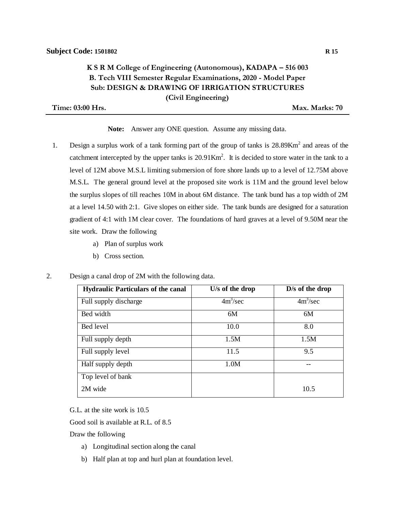## **K S R M College of Engineering (Autonomous), KADAPA – 516 003 B. Tech VIII Semester Regular Examinations, 2020 - Model Paper Sub: DESIGN & DRAWING OF IRRIGATION STRUCTURES (Civil Engineering)**

**Time: 03:00 Hrs. Max. Marks: 70**

**Note:** Answer any ONE question. Assume any missing data.

- 1. Design a surplus work of a tank forming part of the group of tanks is  $28.89$ Km<sup>2</sup> and areas of the catchment intercepted by the upper tanks is  $20.91 \text{Km}^2$ . It is decided to store water in the tank to a level of 12M above M.S.L limiting submersion of fore shore lands up to a level of 12.75M above M.S.L. The general ground level at the proposed site work is 11M and the ground level below the surplus slopes of till reaches 10M in about 6M distance. The tank bund has a top width of 2M at a level 14.50 with 2:1. Give slopes on either side. The tank bunds are designed for a saturation gradient of 4:1 with 1M clear cover. The foundations of hard graves at a level of 9.50M near the site work. Draw the following
	- a) Plan of surplus work
	- b) Cross section.
- 2. Design a canal drop of 2M with the following data.

| <b>Hydraulic Particulars of the canal</b> | U/s of the drop | $D/s$ of the drop    |
|-------------------------------------------|-----------------|----------------------|
| Full supply discharge                     | $4m^3/sec$      | 4m <sup>3</sup> /sec |
| Bed width                                 | 6M              | 6M                   |
| Bed level                                 | 10.0            | 8.0                  |
| Full supply depth                         | 1.5M            | 1.5M                 |
| Full supply level                         | 11.5            | 9.5                  |
| Half supply depth                         | 1.0M            |                      |
| Top level of bank                         |                 |                      |
| 2M wide                                   |                 | 10.5                 |

G.L. at the site work is 10.5

Good soil is available at R.L. of 8.5

Draw the following

- a) Longitudinal section along the canal
- b) Half plan at top and hurl plan at foundation level.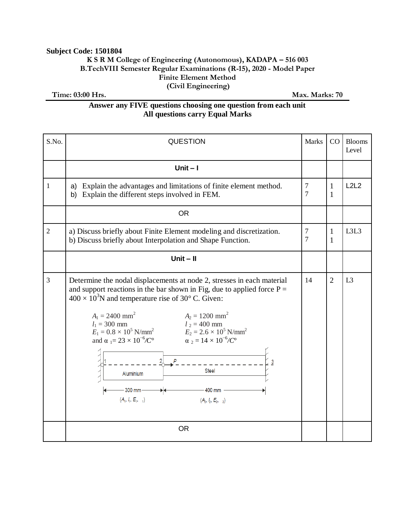### **Subject Code: 1501804**

### **K S R M College of Engineering (Autonomous), KADAPA – 516 003 B.TechVIII Semester Regular Examinations (R-15), 2020 - Model Paper Finite Element Method (Civil Engineering)**

**Time: 03:00 Hrs.** Max. Marks: 70

## **Answer any FIVE questions choosing one question from each unit All questions carry Equal Marks**

| S.No.          | <b>QUESTION</b>                                                                                                                                                                                                                                                                                                                                                                                                                                                                                                                                                                                                                                | <b>Marks</b> | CO                | <b>Blooms</b><br>Level |
|----------------|------------------------------------------------------------------------------------------------------------------------------------------------------------------------------------------------------------------------------------------------------------------------------------------------------------------------------------------------------------------------------------------------------------------------------------------------------------------------------------------------------------------------------------------------------------------------------------------------------------------------------------------------|--------------|-------------------|------------------------|
|                | Unit $-1$                                                                                                                                                                                                                                                                                                                                                                                                                                                                                                                                                                                                                                      |              |                   |                        |
| 1              | Explain the advantages and limitations of finite element method.<br>a)<br>b) Explain the different steps involved in FEM.                                                                                                                                                                                                                                                                                                                                                                                                                                                                                                                      | 7<br>7       | $\mathbf{1}$<br>1 | L2L2                   |
|                | <b>OR</b>                                                                                                                                                                                                                                                                                                                                                                                                                                                                                                                                                                                                                                      |              |                   |                        |
| $\overline{2}$ | a) Discuss briefly about Finite Element modeling and discretization.<br>b) Discuss briefly about Interpolation and Shape Function.                                                                                                                                                                                                                                                                                                                                                                                                                                                                                                             | $\tau$<br>7  | 1<br>1            | L3L3                   |
|                | Unit $-$ II                                                                                                                                                                                                                                                                                                                                                                                                                                                                                                                                                                                                                                    |              |                   |                        |
| 3              | Determine the nodal displacements at node 2, stresses in each material<br>and support reactions in the bar shown in Fig. due to applied force $P =$<br>$400 \times 10^3$ N and temperature rise of 30° C. Given:<br>$A_1 = 2400$ mm <sup>2</sup><br>$A_2 = 1200$ mm <sup>2</sup><br>$l_2 = 400$ mm<br>$l_1 = 300$ mm<br>$l_1 = 300$ mm<br>$E_1 = 0.8 \times 10^5$ N/mm <sup>2</sup><br>$E_2 = 2.6 \times 10^5$ N/mm <sup>2</sup><br>and $\alpha_1 = 23 \times 10^{-6}$ /C <sup>o</sup><br>$\alpha_2 = 14 \times 10^{-6} / C^{\circ}$<br>P<br><b>Steel</b><br>Aluminium<br>300 mm-<br>$-400$ mm<br>$(A_1, I_1, E_1, 1)$<br>$(A_2, I_2, E_2, 2)$ | 14           | $\overline{2}$    | L <sub>3</sub>         |
|                | <b>OR</b>                                                                                                                                                                                                                                                                                                                                                                                                                                                                                                                                                                                                                                      |              |                   |                        |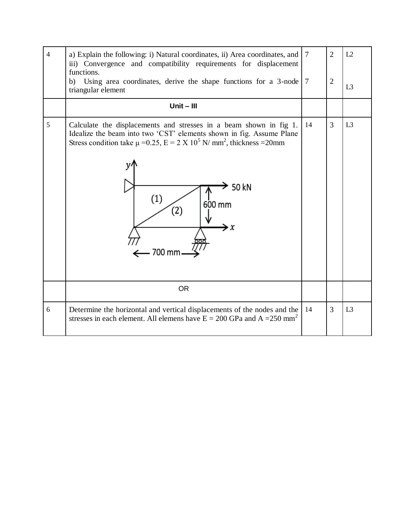| $\overline{4}$ | a) Explain the following: i) Natural coordinates, ii) Area coordinates, and<br>iii) Convergence and compatibility requirements for displacement<br>functions.<br>b) Using area coordinates, derive the shape functions for a $3$ -node $7$<br>triangular element                                                   | $\tau$ | $\overline{2}$<br>$\overline{2}$ | L2<br>L <sub>3</sub> |
|----------------|--------------------------------------------------------------------------------------------------------------------------------------------------------------------------------------------------------------------------------------------------------------------------------------------------------------------|--------|----------------------------------|----------------------|
|                | $Unit - III$                                                                                                                                                                                                                                                                                                       |        |                                  |                      |
| 5              | Calculate the displacements and stresses in a beam shown in fig 1.<br>Idealize the beam into two 'CST' elements shown in fig. Assume Plane<br>Stress condition take $\mu = 0.25$ , $E = 2 \times 10^5$ N/ mm <sup>2</sup> , thickness = 20mm<br>50 kN<br>(1)<br>600 mm<br>$\left( 2\right)$<br>$\leftarrow$ 700 mm | 14     | 3                                | L <sub>3</sub>       |
|                | <b>OR</b>                                                                                                                                                                                                                                                                                                          |        |                                  |                      |
| 6              | Determine the horizontal and vertical displacements of the nodes and the<br>stresses in each element. All elemens have $E = 200$ GPa and A = 250 mm <sup>2</sup>                                                                                                                                                   | 14     | 3                                | L <sub>3</sub>       |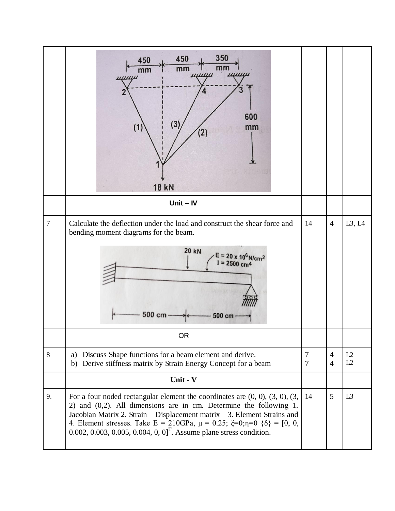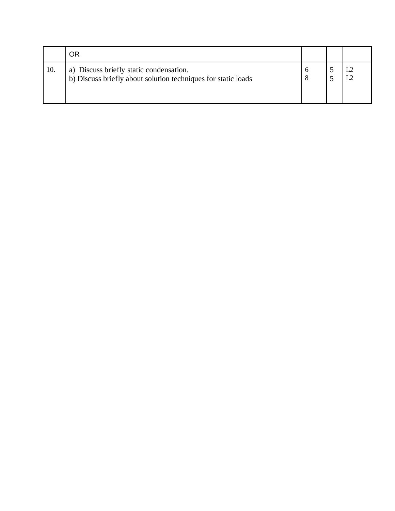|     | OF                                                                                                       |  |  |
|-----|----------------------------------------------------------------------------------------------------------|--|--|
| 10. | a) Discuss briefly static condensation.<br>b) Discuss briefly about solution techniques for static loads |  |  |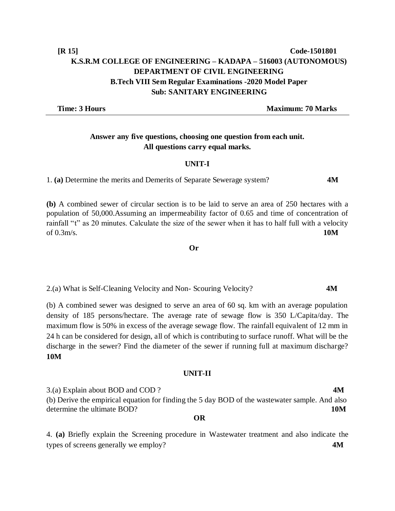**Time: 3 Hours Maximum: 70 Marks** 

# **Answer any five questions, choosing one question from each unit. All questions carry equal marks.**

#### **UNIT-I**

1. **(a)** Determine the merits and Demerits of Separate Sewerage system? **4M**

**(b)** A combined sewer of circular section is to be laid to serve an area of 250 hectares with a population of 50,000.Assuming an impermeability factor of 0.65 and time of concentration of rainfall "t" as 20 minutes. Calculate the size of the sewer when it has to half full with a velocity of 0.3m/s. **10M**

 **Or**

2.(a) What is Self-Cleaning Velocity and Non- Scouring Velocity? **4M**

(b) A combined sewer was designed to serve an area of 60 sq. km with an average population density of 185 persons/hectare. The average rate of sewage flow is 350 L/Capita/day. The maximum flow is 50% in excess of the average sewage flow. The rainfall equivalent of 12 mm in 24 h can be considered for design, all of which is contributing to surface runoff. What will be the discharge in the sewer? Find the diameter of the sewer if running full at maximum discharge? **10M**

#### **UNIT-II**

3.(a) Explain about BOD and COD ? **4M** (b) Derive the empirical equation for finding the 5 day BOD of the wastewater sample. And also determine the ultimate BOD? **10M OR**

4. **(a)** Briefly explain the Screening procedure in Wastewater treatment and also indicate the types of screens generally we employ? **4M**